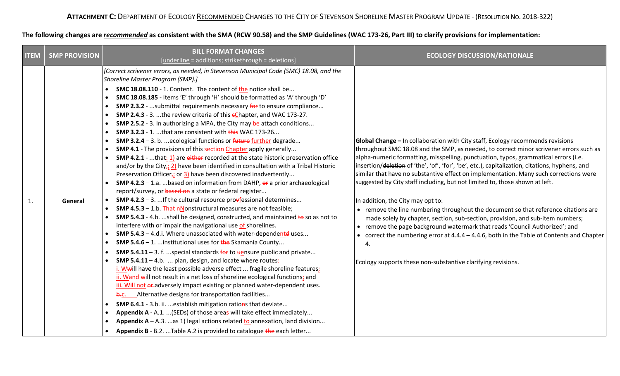## **The following changes are** *recommended* **as consistent with the SMA (RCW 90.58) and the SMP Guidelines (WAC 173-26, Part III) to clarify provisions for implementation:**

| <b>ITEM</b> | <b>SMP PROVISION</b> | <b>BILL FORMAT CHANGES</b><br>[underline = additions; strikethrough = deletions]                                                                                                                                                                                                                                                                                                                                                                                                                                                                                                                                                                                                                                                                                                                                                                                                                                                                                                                                                                                                                                                                                                                                                                                                                                                                                                                                                                                                                                                                                                                                                                                                                                                                                                                                                                                                                                                                                                                                                                                                                                                                                                                                                                                                                                                                                                                                                                                                                                             | <b>ECOLOGY DISCUSSION/RATIONALE</b>                                                                                                                                                                                                                                                                                                                                                                                                                                                                                                                                                                                                                                                                                                                                                                                                                                                                                                                                                                                          |
|-------------|----------------------|------------------------------------------------------------------------------------------------------------------------------------------------------------------------------------------------------------------------------------------------------------------------------------------------------------------------------------------------------------------------------------------------------------------------------------------------------------------------------------------------------------------------------------------------------------------------------------------------------------------------------------------------------------------------------------------------------------------------------------------------------------------------------------------------------------------------------------------------------------------------------------------------------------------------------------------------------------------------------------------------------------------------------------------------------------------------------------------------------------------------------------------------------------------------------------------------------------------------------------------------------------------------------------------------------------------------------------------------------------------------------------------------------------------------------------------------------------------------------------------------------------------------------------------------------------------------------------------------------------------------------------------------------------------------------------------------------------------------------------------------------------------------------------------------------------------------------------------------------------------------------------------------------------------------------------------------------------------------------------------------------------------------------------------------------------------------------------------------------------------------------------------------------------------------------------------------------------------------------------------------------------------------------------------------------------------------------------------------------------------------------------------------------------------------------------------------------------------------------------------------------------------------------|------------------------------------------------------------------------------------------------------------------------------------------------------------------------------------------------------------------------------------------------------------------------------------------------------------------------------------------------------------------------------------------------------------------------------------------------------------------------------------------------------------------------------------------------------------------------------------------------------------------------------------------------------------------------------------------------------------------------------------------------------------------------------------------------------------------------------------------------------------------------------------------------------------------------------------------------------------------------------------------------------------------------------|
| 1.          | General              | [Correct scrivener errors, as needed, in Stevenson Municipal Code (SMC) 18.08, and the<br>Shoreline Master Program (SMP).]<br><b>SMC 18.08.110</b> - 1. Content. The content of the notice shall be<br>SMC 18.08.185 - Items 'E' through 'H' should be formatted as 'A' through 'D'<br><b>SMP 2.3.2</b> - submittal requirements necessary for to ensure compliance<br>$\bullet$<br><b>SMP 2.4.3</b> - 3. the review criteria of this $\epsilon$ Chapter, and WAC 173-27.<br><b>SMP 2.5.2</b> - 3. In authorizing a MPA, the City may be attach conditions<br>SMP 3.2.3 - 1. that are consistent with this WAC 173-26<br>SMP 3.2.4 - 3. b.  ecological functions or future further degrade<br>SMP 4.1 - The provisions of this section Chapter apply generally<br><b>SMP 4.2.1</b> - that: $1$ are either recorded at the state historic preservation office<br>and/or by the City <sub><math>\vec{r}</math></sub> 2) have been identified in consultation with a Tribal Historic<br>Preservation Officer <sub><math>\bar{t}</math></sub> or $3$ ) have been discovered inadvertently<br><b>SMP 4.2.3</b> – 1.a.  based on information from DAHP, $\theta$ a prior archaeological<br>report/survey, or based on a state or federal register<br><b>SMP 4.2.3</b> – 3.  If the cultural resource pro $\frac{1}{2}$ ressional determines<br>SMP 4.5.3 - 1.b. That nNonstructural measures are not feasible;<br><b>SMP 5.4.3</b> - 4.b. shall be designed, constructed, and maintained $\frac{1}{10}$ so as not to<br>interfere with or impair the navigational use of shorelines.<br>SMP 5.4.3 - 4.d.i. Where unassociated with water-dependented uses<br><b>SMP 5.4.6</b> – 1.  institutional uses for the Skamania County<br><b>SMP 5.4.11</b> – 3. f. special standards $\frac{1}{100}$ to $\frac{1}{100}$ sure public and private<br><b>SMP 5.4.11</b> - 4.b.  plan, design, and locate where routes:<br>i. Wwill have the least possible adverse effect  fragile shoreline features;<br>ii. Wand will not result in a net loss of shoreline ecological functions; and<br>iii. Will not er-adversely impact existing or planned water-dependent uses.<br>b.c. Alternative designs for transportation facilities<br>SMP 6.4.1 - 3.b. ii.  establish mitigation rations that deviate<br>Appendix A - A.1.  (SEDs) of those areas will take effect immediately<br>Appendix $A - A.3$ . as 1) legal actions related <b>to</b> annexation, land division<br>Appendix B - B.2. Table A.2 is provided to catalogue the each letter | <b>Global Change</b> $-$ In collaboration with City staff, Ecology recommends revisions<br>throughout SMC 18.08 and the SMP, as needed, to correct minor scrivener errors such as<br>alpha-numeric formatting, misspelling, punctuation, typos, grammatical errors (i.e.<br>insertion/deletion of 'the', 'of', 'for', 'be', etc.), capitalization, citations, hyphens, and<br>similar that have no substantive effect on implementation. Many such corrections were<br>suggested by City staff including, but not limited to, those shown at left.<br>In addition, the City may opt to:<br>• remove the line numbering throughout the document so that reference citations are<br>made solely by chapter, section, sub-section, provision, and sub-item numbers;<br>• remove the page background watermark that reads 'Council Authorized'; and<br>• correct the numbering error at 4.4.4 - 4.4.6, both in the Table of Contents and Chapter<br>$\mathbf{4}$<br>Ecology supports these non-substantive clarifying revisions. |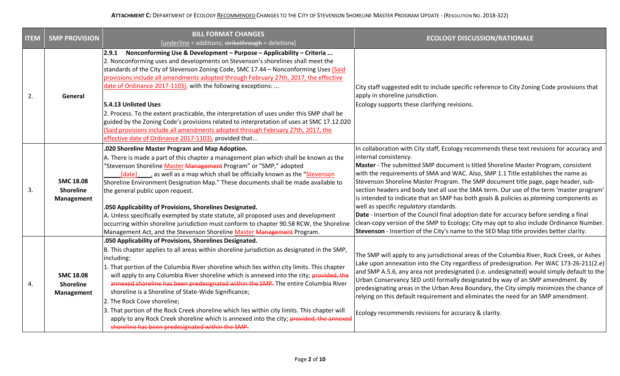| <b>ITEM</b> | <b>SMP PROVISION</b>                               | <b>BILL FORMAT CHANGES</b><br>[underline = additions; strikethrough = deletions]                                                                                                                                                                                                                                                                                                                                                                                                                                                                                                                                                                                                                                                                                                              | <b>ECOLOGY DISCUSSION/RATIONALE</b>                                                                                                                                                                                                                                                                                                                                                                                                                                                                                                                                                                                                                                                                                                                                                                                                                                                                    |
|-------------|----------------------------------------------------|-----------------------------------------------------------------------------------------------------------------------------------------------------------------------------------------------------------------------------------------------------------------------------------------------------------------------------------------------------------------------------------------------------------------------------------------------------------------------------------------------------------------------------------------------------------------------------------------------------------------------------------------------------------------------------------------------------------------------------------------------------------------------------------------------|--------------------------------------------------------------------------------------------------------------------------------------------------------------------------------------------------------------------------------------------------------------------------------------------------------------------------------------------------------------------------------------------------------------------------------------------------------------------------------------------------------------------------------------------------------------------------------------------------------------------------------------------------------------------------------------------------------------------------------------------------------------------------------------------------------------------------------------------------------------------------------------------------------|
| 2.          | General                                            | 2.9.1 Nonconforming Use & Development - Purpose - Applicability - Criteria<br>2. Nonconforming uses and developments on Stevenson's shorelines shall meet the<br>standards of the City of Stevenson Zoning Code, SMC 17.44 - Nonconforming Uses (Said<br>provisions include all amendments adopted through February 27th, 2017, the effective<br>date of Ordinance 2017-1103), with the following exceptions:<br>5.4.13 Unlisted Uses<br>2. Process. To the extent practicable, the interpretation of uses under this SMP shall be<br>guided by the Zoning Code's provisions related to interpretation of uses at SMC 17.12.020<br>(Said provisions include all amendments adopted through February 27th, 2017, the<br>effective date of Ordinance 2017-1103), provided that                  | City staff suggested edit to include specific reference to City Zoning Code provisions that<br>apply in shoreline jurisdiction.<br>Ecology supports these clarifying revisions.                                                                                                                                                                                                                                                                                                                                                                                                                                                                                                                                                                                                                                                                                                                        |
| 3.          | <b>SMC 18.08</b><br><b>Shoreline</b><br>Management | .020 Shoreline Master Program and Map Adoption.<br>A. There is made a part of this chapter a management plan which shall be known as the<br>"Stevenson Shoreline Master Management Program" or "SMP," adopted<br>[date] , as well as a map which shall be officially known as the "Stevenson<br>Shoreline Environment Designation Map." These documents shall be made available to<br>the general public upon request.<br>.050 Applicability of Provisions, Shorelines Designated.<br>A. Unless specifically exempted by state statute, all proposed uses and development<br>occurring within shoreline jurisdiction must conform to chapter 90.58 RCW, the Shoreline<br>Management Act, and the Stevenson Shoreline Master Management Program.                                               | In collaboration with City staff, Ecology recommends these text revisions for accuracy and<br>internal consistency.<br>Master - The submitted SMP document is titled Shoreline Master Program, consistent<br>with the requirements of SMA and WAC. Also, SMP 1.1 Title establishes the name as<br>Stevenson Shoreline Master Program. The SMP document title page, page header, sub-<br>section headers and body text all use the SMA term. Our use of the term 'master program'<br>is intended to indicate that an SMP has both goals & policies as planning components as<br>well as specific regulatory standards.<br>Date - Insertion of the Council final adoption date for accuracy before sending a final<br>clean-copy version of the SMP to Ecology; City may opt to also include Ordinance Number.<br>Stevenson - Insertion of the City's name to the SED Map title provides better clarity. |
| 4.          | <b>SMC 18.08</b><br>Shoreline<br>Management        | .050 Applicability of Provisions, Shorelines Designated.<br>B. This chapter applies to all areas within shoreline jurisdiction as designated in the SMP,<br>including:<br>1. That portion of the Columbia River shoreline which lies within city limits. This chapter<br>will apply to any Columbia River shoreline which is annexed into the city; provided, the<br>annexed shoreline has been predesignated within the SMP. The entire Columbia River<br>shoreline is a Shoreline of State-Wide Significance;<br>2. The Rock Cove shoreline;<br>3. That portion of the Rock Creek shoreline which lies within city limits. This chapter will<br>apply to any Rock Creek shoreline which is annexed into the city; provided, the annexed<br>shoreline has been predesignated within the SMP. | The SMP will apply to any jurisdictional areas of the Columbia River, Rock Creek, or Ashes<br>Lake upon annexation into the City regardless of predesignation. Per WAC 173-26-211(2.e)<br>and SMP A.5.6, any area not predesignated (i.e. undesignated) would simply default to the<br>Urban Conservancy SED until formally designated by way of an SMP amendment. By<br>predesignating areas in the Urban Area Boundary, the City simply minimizes the chance of<br>relying on this default requirement and eliminates the need for an SMP amendment.<br>Ecology recommends revisions for accuracy & clarity.                                                                                                                                                                                                                                                                                         |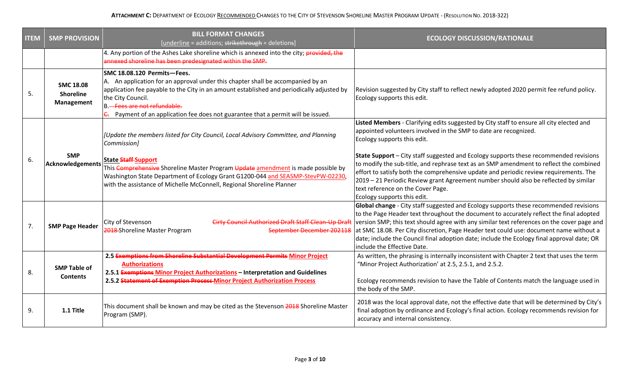| <b>ITEM</b> | <b>SMP PROVISION</b>                               | <b>BILL FORMAT CHANGES</b><br>[underline = additions; strikethrough = deletions]                                                                                                                                                                                                                                                                     | <b>ECOLOGY DISCUSSION/RATIONALE</b>                                                                                                                                                                                                                                                                                                                                                                                                                                                                   |
|-------------|----------------------------------------------------|------------------------------------------------------------------------------------------------------------------------------------------------------------------------------------------------------------------------------------------------------------------------------------------------------------------------------------------------------|-------------------------------------------------------------------------------------------------------------------------------------------------------------------------------------------------------------------------------------------------------------------------------------------------------------------------------------------------------------------------------------------------------------------------------------------------------------------------------------------------------|
|             |                                                    | 4. Any portion of the Ashes Lake shoreline which is annexed into the city; provided, the<br>annexed shoreline has been predesignated within the SMP.                                                                                                                                                                                                 |                                                                                                                                                                                                                                                                                                                                                                                                                                                                                                       |
| 5.          | <b>SMC 18.08</b><br><b>Shoreline</b><br>Management | SMC 18.08.120 Permits-Fees.<br>A. An application for an approval under this chapter shall be accompanied by an<br>application fee payable to the City in an amount established and periodically adjusted by<br>the City Council.<br>B. Fees are not refundable.<br>E. Payment of an application fee does not guarantee that a permit will be issued. | Revision suggested by City staff to reflect newly adopted 2020 permit fee refund policy.<br>Ecology supports this edit.                                                                                                                                                                                                                                                                                                                                                                               |
|             |                                                    | [Update the members listed for City Council, Local Advisory Committee, and Planning<br>Commission]                                                                                                                                                                                                                                                   | Listed Members - Clarifying edits suggested by City staff to ensure all city elected and<br>appointed volunteers involved in the SMP to date are recognized.<br>Ecology supports this edit.                                                                                                                                                                                                                                                                                                           |
| 6.          | <b>SMP</b><br>Acknowledgements                     | <b>State Staff-Support</b><br>This Comprehensive Shoreline Master Program Update amendment is made possible by<br>Washington State Department of Ecology Grant G1200-044 and SEASMP-StevPW-02230,<br>with the assistance of Michelle McConnell, Regional Shoreline Planner                                                                           | <b>State Support</b> - City staff suggested and Ecology supports these recommended revisions<br>to modify the sub-title, and rephrase text as an SMP amendment to reflect the combined<br>effort to satisfy both the comprehensive update and periodic review requirements. The<br>2019 - 21 Periodic Review grant Agreement number should also be reflected by similar<br>text reference on the Cover Page.<br>Ecology supports this edit.                                                           |
| 7.          | <b>SMP Page Header</b>                             | City of Stevenson<br><b>Cirty Council Authorized Draft Staff Clean-Up Draft</b><br>2018 Shoreline Master Program<br>September December 202118                                                                                                                                                                                                        | Global change - City staff suggested and Ecology supports these recommended revisions<br>to the Page Header text throughout the document to accurately reflect the final adopted<br>version SMP; this text should agree with any similar text references on the cover page and<br>at SMC 18.08. Per City discretion, Page Header text could use: document name without a<br>date; include the Council final adoption date; include the Ecology final approval date; OR<br>include the Effective Date. |
| 8.          | <b>SMP Table of</b><br><b>Contents</b>             | 2.5 Exemptions from Shoreline Substantial Development Permits Minor Project<br><b>Authorizations</b><br>2.5.1 Exemptions Minor Project Authorizations - Interpretation and Guidelines<br>2.5.2 Statement of Exemption Process Minor Project Authorization Process                                                                                    | As written, the phrasing is internally inconsistent with Chapter 2 text that uses the term<br>"Minor Project Authorization' at 2.5, 2.5.1, and 2.5.2.<br>Ecology recommends revision to have the Table of Contents match the language used in<br>the body of the SMP.                                                                                                                                                                                                                                 |
| 9.          | 1.1 Title                                          | This document shall be known and may be cited as the Stevenson 2018 Shoreline Master<br>Program (SMP).                                                                                                                                                                                                                                               | 2018 was the local approval date, not the effective date that will be determined by City's<br>final adoption by ordinance and Ecology's final action. Ecology recommends revision for<br>accuracy and internal consistency.                                                                                                                                                                                                                                                                           |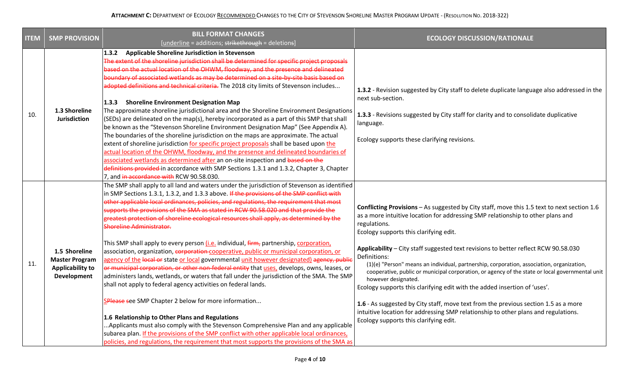| <b>ITEM</b> | <b>SMP PROVISION</b>                                                             | <b>BILL FORMAT CHANGES</b>                                                                                                                                                                                                                                                                                                                                                                                                                                                                                                                                                                                                                                                                                                                                                                                                                                                                                                                                                                                                                                                                                                                                                                                                                                                                                                                                                                                                                                                 | <b>ECOLOGY DISCUSSION/RATIONALE</b>                                                                                                                                                                                                                                                                                                                                                                                                                                                                                                                                                                                                                                                                                                                                                                                                                                        |
|-------------|----------------------------------------------------------------------------------|----------------------------------------------------------------------------------------------------------------------------------------------------------------------------------------------------------------------------------------------------------------------------------------------------------------------------------------------------------------------------------------------------------------------------------------------------------------------------------------------------------------------------------------------------------------------------------------------------------------------------------------------------------------------------------------------------------------------------------------------------------------------------------------------------------------------------------------------------------------------------------------------------------------------------------------------------------------------------------------------------------------------------------------------------------------------------------------------------------------------------------------------------------------------------------------------------------------------------------------------------------------------------------------------------------------------------------------------------------------------------------------------------------------------------------------------------------------------------|----------------------------------------------------------------------------------------------------------------------------------------------------------------------------------------------------------------------------------------------------------------------------------------------------------------------------------------------------------------------------------------------------------------------------------------------------------------------------------------------------------------------------------------------------------------------------------------------------------------------------------------------------------------------------------------------------------------------------------------------------------------------------------------------------------------------------------------------------------------------------|
| 10.         | 1.3 Shoreline<br><b>Jurisdiction</b>                                             | [underline = additions; strikethrough = deletions]<br>1.3.2 Applicable Shoreline Jurisdiction in Stevenson<br>The extent of the shoreline jurisdiction shall be determined for specific project proposals<br>based on the actual location of the OHWM, floodway, and the presence and delineated<br>boundary of associated wetlands as may be determined on a site-by-site basis based on<br>adopted definitions and technical criteria. The 2018 city limits of Stevenson includes<br>1.3.3 Shoreline Environment Designation Map<br>The approximate shoreline jurisdictional area and the Shoreline Environment Designations<br>(SEDs) are delineated on the map(s), hereby incorporated as a part of this SMP that shall<br>be known as the "Stevenson Shoreline Environment Designation Map" (See Appendix A).<br>The boundaries of the shoreline jurisdiction on the maps are approximate. The actual<br>extent of shoreline jurisdiction for specific project proposals shall be based upon the<br>actual location of the OHWM, floodway, and the presence and delineated boundaries of<br>associated wetlands as determined after an on-site inspection and based on the<br>definitions provided in accordance with SMP Sections 1.3.1 and 1.3.2, Chapter 3, Chapter<br>7, and in accordance with RCW 90.58.030.                                                                                                                                                    | 1.3.2 - Revision suggested by City staff to delete duplicate language also addressed in the<br>next sub-section.<br>1.3.3 - Revisions suggested by City staff for clarity and to consolidate duplicative<br>language.<br>Ecology supports these clarifying revisions.                                                                                                                                                                                                                                                                                                                                                                                                                                                                                                                                                                                                      |
| 11.         | 1.5 Shoreline<br><b>Master Program</b><br><b>Applicability to</b><br>Development | The SMP shall apply to all land and waters under the jurisdiction of Stevenson as identified<br>in SMP Sections 1.3.1, 1.3.2, and 1.3.3 above. If the provisions of the SMP conflict with<br>other applicable local ordinances, policies, and regulations, the requirement that most<br>supports the provisions of the SMA as stated in RCW 90.58.020 and that provide the<br>greatest protection of shoreline ecological resources shall apply, as determined by the<br><b>Shoreline Administrator.</b><br>This SMP shall apply to every person <i>(i.e.</i> individual, <i>firm</i> , partnership, corporation,<br>association, organization, corporation-cooperative, public or municipal corporation, or<br>agency of the local or state or local governmental unit however designated) agency, public<br>or municipal corporation, or other non-federal entity that uses, develops, owns, leases, or<br>administers lands, wetlands, or waters that fall under the jurisdiction of the SMA. The SMP<br>shall not apply to federal agency activities on federal lands.<br>SPlease see SMP Chapter 2 below for more information<br>1.6 Relationship to Other Plans and Regulations<br>Applicants must also comply with the Stevenson Comprehensive Plan and any applicable<br>subarea plan. If the provisions of the SMP conflict with other applicable local ordinances,<br>policies, and regulations, the requirement that most supports the provisions of the SMA as | Conflicting Provisions - As suggested by City staff, move this 1.5 text to next section 1.6<br>as a more intuitive location for addressing SMP relationship to other plans and<br>regulations.<br>Ecology supports this clarifying edit.<br>Applicability - City staff suggested text revisions to better reflect RCW 90.58.030<br>Definitions:<br>(1)(e) "Person" means an individual, partnership, corporation, association, organization,<br>cooperative, public or municipal corporation, or agency of the state or local governmental unit<br>however designated.<br>Ecology supports this clarifying edit with the added insertion of 'uses'.<br>1.6 - As suggested by City staff, move text from the previous section 1.5 as a more<br>intuitive location for addressing SMP relationship to other plans and regulations.<br>Ecology supports this clarifying edit. |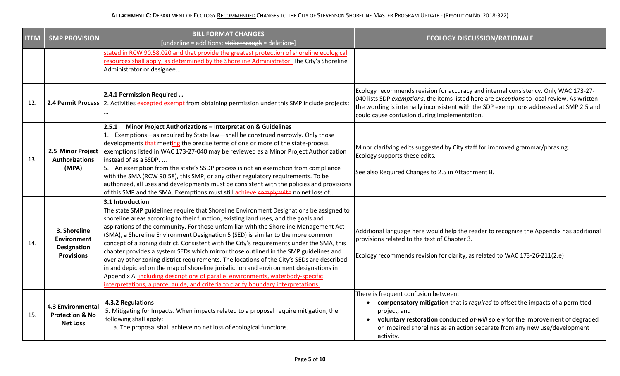| <b>ITEM</b> | <b>SMP PROVISION</b>                                                          | <b>BILL FORMAT CHANGES</b><br>[underline = additions; strikethrough = deletions]                                                                                                                                                                                                                                                                                                                                                                                                                                                                                                                                                                                                                                                                                                                                                                                                                                                 | <b>ECOLOGY DISCUSSION/RATIONALE</b>                                                                                                                                                                                                                                                                                            |
|-------------|-------------------------------------------------------------------------------|----------------------------------------------------------------------------------------------------------------------------------------------------------------------------------------------------------------------------------------------------------------------------------------------------------------------------------------------------------------------------------------------------------------------------------------------------------------------------------------------------------------------------------------------------------------------------------------------------------------------------------------------------------------------------------------------------------------------------------------------------------------------------------------------------------------------------------------------------------------------------------------------------------------------------------|--------------------------------------------------------------------------------------------------------------------------------------------------------------------------------------------------------------------------------------------------------------------------------------------------------------------------------|
|             |                                                                               | stated in RCW 90.58.020 and that provide the greatest protection of shoreline ecological<br>resources shall apply, as determined by the Shoreline Administrator. The City's Shoreline<br>Administrator or designee                                                                                                                                                                                                                                                                                                                                                                                                                                                                                                                                                                                                                                                                                                               |                                                                                                                                                                                                                                                                                                                                |
| 12.         |                                                                               | 2.4.1 Permission Required<br>2.4 Permit Process 2. Activities excepted exempt from obtaining permission under this SMP include projects:                                                                                                                                                                                                                                                                                                                                                                                                                                                                                                                                                                                                                                                                                                                                                                                         | Ecology recommends revision for accuracy and internal consistency. Only WAC 173-27-<br>040 lists SDP exemptions, the items listed here are exceptions to local review. As written<br>the wording is internally inconsistent with the SDP exemptions addressed at SMP 2.5 and<br>could cause confusion during implementation.   |
| 13.         | 2.5 Minor Project<br><b>Authorizations</b><br>(MPA)                           | <b>Minor Project Authorizations - Interpretation &amp; Guidelines</b><br>2.5.1<br>1. Exemptions-as required by State law-shall be construed narrowly. Only those<br>developments that meeting the precise terms of one or more of the state-process<br>exemptions listed in WAC 173-27-040 may be reviewed as a Minor Project Authorization<br>instead of as a SSDP.<br>5. An exemption from the state's SSDP process is not an exemption from compliance<br>with the SMA (RCW 90.58), this SMP, or any other regulatory requirements. To be<br>authorized, all uses and developments must be consistent with the policies and provisions<br>of this SMP and the SMA. Exemptions must still achieve comply with no net loss of                                                                                                                                                                                                   | Minor clarifying edits suggested by City staff for improved grammar/phrasing.<br>Ecology supports these edits.<br>See also Required Changes to 2.5 in Attachment B.                                                                                                                                                            |
| 14.         | 3. Shoreline<br><b>Environment</b><br><b>Designation</b><br><b>Provisions</b> | 3.1 Introduction<br>The state SMP guidelines require that Shoreline Environment Designations be assigned to<br>shoreline areas according to their function, existing land uses, and the goals and<br>aspirations of the community. For those unfamiliar with the Shoreline Management Act<br>(SMA), a Shoreline Environment Designation 5 (SED) is similar to the more common<br>concept of a zoning district. Consistent with the City's requirements under the SMA, this<br>chapter provides a system SEDs which mirror those outlined in the SMP guidelines and<br>overlay other zoning district requirements. The locations of the City's SEDs are described<br>in and depicted on the map of shoreline jurisdiction and environment designations in<br>Appendix A-including descriptions of parallel environments, waterbody-specific<br>interpretations, a parcel guide, and criteria to clarify boundary interpretations. | Additional language here would help the reader to recognize the Appendix has additional<br>provisions related to the text of Chapter 3.<br>Ecology recommends revision for clarity, as related to WAC 173-26-211(2.e)                                                                                                          |
| 15.         | <b>4.3 Environmental</b><br><b>Protection &amp; No</b><br><b>Net Loss</b>     | 4.3.2 Regulations<br>5. Mitigating for Impacts. When impacts related to a proposal require mitigation, the<br>following shall apply:<br>a. The proposal shall achieve no net loss of ecological functions.                                                                                                                                                                                                                                                                                                                                                                                                                                                                                                                                                                                                                                                                                                                       | There is frequent confusion between:<br>compensatory mitigation that is required to offset the impacts of a permitted<br>project; and<br>voluntary restoration conducted at-will solely for the improvement of degraded<br>$\bullet$<br>or impaired shorelines as an action separate from any new use/development<br>activity. |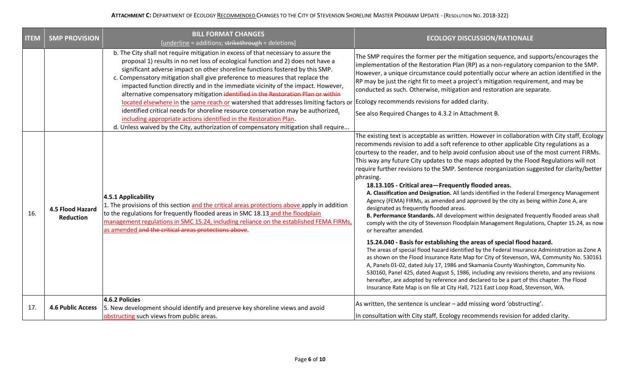| <b>ITEM</b> | <b>SMP PROVISION</b>                 | <b>BILL FORMAT CHANGES</b><br>[underline = additions; strikethrough = deletions]                                                                                                                                                                                                                                                                                                                                                                                                                                                                                                                                                                                                                                                                                                                                                                         | <b>ECOLOGY DISCUSSION/RATIONALE</b>                                                                                                                                                                                                                                                                                                                                                                                                                                                                                                                                                                                                                                                                                                                                                                                                                                                                                                                                                                                                                                                                                                                                                                                                                                                                                                                                                                                                                                                                                                                                                                                                              |
|-------------|--------------------------------------|----------------------------------------------------------------------------------------------------------------------------------------------------------------------------------------------------------------------------------------------------------------------------------------------------------------------------------------------------------------------------------------------------------------------------------------------------------------------------------------------------------------------------------------------------------------------------------------------------------------------------------------------------------------------------------------------------------------------------------------------------------------------------------------------------------------------------------------------------------|--------------------------------------------------------------------------------------------------------------------------------------------------------------------------------------------------------------------------------------------------------------------------------------------------------------------------------------------------------------------------------------------------------------------------------------------------------------------------------------------------------------------------------------------------------------------------------------------------------------------------------------------------------------------------------------------------------------------------------------------------------------------------------------------------------------------------------------------------------------------------------------------------------------------------------------------------------------------------------------------------------------------------------------------------------------------------------------------------------------------------------------------------------------------------------------------------------------------------------------------------------------------------------------------------------------------------------------------------------------------------------------------------------------------------------------------------------------------------------------------------------------------------------------------------------------------------------------------------------------------------------------------------|
|             |                                      | b. The City shall not require mitigation in excess of that necessary to assure the<br>proposal 1) results in no net loss of ecological function and 2) does not have a<br>significant adverse impact on other shoreline functions fostered by this SMP.<br>c. Compensatory mitigation shall give preference to measures that replace the<br>impacted function directly and in the immediate vicinity of the impact. However,<br>alternative compensatory mitigation identified in the Restoration Plan or within<br>located elsewhere in the same reach or watershed that addresses limiting factors or<br>identified critical needs for shoreline resource conservation may be authorized,<br>including appropriate actions identified in the Restoration Plan.<br>d. Unless waived by the City, authorization of compensatory mitigation shall require | The SMP requires the former per the mitigation sequence, and supports/encourages the<br>implementation of the Restoration Plan (RP) as a non-regulatory companion to the SMP.<br>However, a unique circumstance could potentially occur where an action identified in the<br>$ RP$ may be just the right fit to meet a project's mitigation requirement, and may be<br>conducted as such. Otherwise, mitigation and restoration are separate.<br>Ecology recommends revisions for added clarity.<br>See also Required Changes to 4.3.2 in Attachment B.                                                                                                                                                                                                                                                                                                                                                                                                                                                                                                                                                                                                                                                                                                                                                                                                                                                                                                                                                                                                                                                                                          |
| 16.         | 4.5 Flood Hazard<br><b>Reduction</b> | 4.5.1 Applicability<br>1. The provisions of this section and the critical areas protections above apply in addition<br>to the regulations for frequently flooded areas in SMC 18.13 and the floodplain<br>management regulations in SMC 15.24, including reliance on the established FEMA FIRMs,<br>as amended and the critical areas protections above.                                                                                                                                                                                                                                                                                                                                                                                                                                                                                                 | The existing text is acceptable as written. However in collaboration with City staff, Ecology<br>recommends revision to add a soft reference to other applicable City regulations as a<br>courtesy to the reader, and to help avoid confusion about use of the most current FIRMs.<br>This way any future City updates to the maps adopted by the Flood Regulations will not<br>require further revisions to the SMP. Sentence reorganization suggested for clarity/better<br>phrasing.<br>18.13.105 - Critical area-Frequently flooded areas.<br>A. Classification and Designation. All lands identified in the Federal Emergency Management<br>Agency (FEMA) FIRMs, as amended and approved by the city as being within Zone A, are<br>designated as frequently flooded areas.<br>B. Performance Standards. All development within designated frequently flooded areas shall<br>comply with the city of Stevenson Floodplain Management Regulations, Chapter 15.24, as now<br>or hereafter amended.<br>15.24.040 - Basis for establishing the areas of special flood hazard.<br>The areas of special flood hazard identified by the Federal Insurance Administration as Zone A<br>as shown on the Flood Insurance Rate Map for City of Stevenson, WA, Community No. 530161<br>A, Panels 01-02, dated July 17, 1986 and Skamania County Washington, Community No.<br>530160, Panel 425, dated August 5, 1986, including any revisions thereto, and any revisions<br>hereafter, are adopted by reference and declared to be a part of this chapter. The Flood<br>Insurance Rate Map is on file at City Hall, 7121 East Loop Road, Stevenson, WA. |
| 17.         | <b>4.6 Public Access</b>             | 4.6.2 Policies<br>5. New development should identify and preserve key shoreline views and avoid<br>obstructing such views from public areas.                                                                                                                                                                                                                                                                                                                                                                                                                                                                                                                                                                                                                                                                                                             | As written, the sentence is unclear – add missing word 'obstructing'.<br>In consultation with City staff, Ecology recommends revision for added clarity.                                                                                                                                                                                                                                                                                                                                                                                                                                                                                                                                                                                                                                                                                                                                                                                                                                                                                                                                                                                                                                                                                                                                                                                                                                                                                                                                                                                                                                                                                         |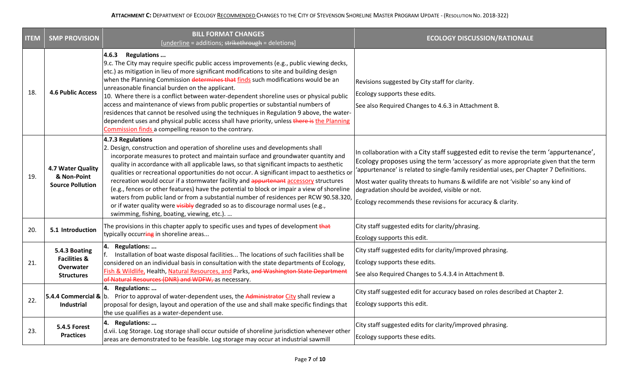| <b>ITEM</b> | <b>SMP PROVISION</b>                                                       | <b>BILL FORMAT CHANGES</b><br>[underline = additions; strikethrough = deletions]                                                                                                                                                                                                                                                                                                                                                                                                                                                                                                                                                                                                                                                                                                                      | <b>ECOLOGY DISCUSSION/RATIONALE</b>                                                                                                                                                                                                                                                                                                                                                                                                                                        |
|-------------|----------------------------------------------------------------------------|-------------------------------------------------------------------------------------------------------------------------------------------------------------------------------------------------------------------------------------------------------------------------------------------------------------------------------------------------------------------------------------------------------------------------------------------------------------------------------------------------------------------------------------------------------------------------------------------------------------------------------------------------------------------------------------------------------------------------------------------------------------------------------------------------------|----------------------------------------------------------------------------------------------------------------------------------------------------------------------------------------------------------------------------------------------------------------------------------------------------------------------------------------------------------------------------------------------------------------------------------------------------------------------------|
| 18.         | <b>4.6 Public Access</b>                                                   | 4.6.3 Regulations<br>9.c. The City may require specific public access improvements (e.g., public viewing decks,<br>etc.) as mitigation in lieu of more significant modifications to site and building design<br>when the Planning Commission determines that finds such modifications would be an<br>unreasonable financial burden on the applicant.<br>10. Where there is a conflict between water-dependent shoreline uses or physical public<br>access and maintenance of views from public properties or substantial numbers of<br>residences that cannot be resolved using the techniques in Regulation 9 above, the water-<br>dependent uses and physical public access shall have priority, unless there is the Planning<br>Commission finds a compelling reason to the contrary.              | Revisions suggested by City staff for clarity.<br>Ecology supports these edits.<br>See also Required Changes to 4.6.3 in Attachment B.                                                                                                                                                                                                                                                                                                                                     |
| 19.         | 4.7 Water Quality<br>& Non-Point<br><b>Source Pollution</b>                | 4.7.3 Regulations<br>2. Design, construction and operation of shoreline uses and developments shall<br>incorporate measures to protect and maintain surface and groundwater quantity and<br>quality in accordance with all applicable laws, so that significant impacts to aesthetic<br>qualities or recreational opportunities do not occur. A significant impact to aesthetics or<br>recreation would occur if a stormwater facility and appurtenant accessory structures<br>(e.g., fences or other features) have the potential to block or impair a view of shoreline<br>waters from public land or from a substantial number of residences per RCW 90.58.320,<br>or if water quality were visibly degraded so as to discourage normal uses (e.g.,<br>swimming, fishing, boating, viewing, etc.). | In collaboration with a City staff suggested edit to revise the term 'appurtenance',<br>Ecology proposes using the term 'accessory' as more appropriate given that the term<br>'appurtenance' is related to single-family residential uses, per Chapter 7 Definitions.<br>Most water quality threats to humans & wildlife are not 'visible' so any kind of<br>degradation should be avoided, visible or not.<br>Ecology recommends these revisions for accuracy & clarity. |
| 20.         | 5.1 Introduction                                                           | The provisions in this chapter apply to specific uses and types of development that<br>typically occurring in shoreline areas                                                                                                                                                                                                                                                                                                                                                                                                                                                                                                                                                                                                                                                                         | City staff suggested edits for clarity/phrasing.<br>Ecology supports this edit.                                                                                                                                                                                                                                                                                                                                                                                            |
| 21.         | 5.4.3 Boating<br><b>Facilities &amp;</b><br>Overwater<br><b>Structures</b> | 4. Regulations:<br>Installation of boat waste disposal facilities The locations of such facilities shall be<br>considered on an individual basis in consultation with the state departments of Ecology,<br>Fish & Wildlife, Health, Natural Resources, and Parks, and Washington State Department<br>of Natural Resources (DNR) and WDFW, as necessary.                                                                                                                                                                                                                                                                                                                                                                                                                                               | City staff suggested edits for clarity/improved phrasing.<br>Ecology supports these edits.<br>See also Required Changes to 5.4.3.4 in Attachment B.                                                                                                                                                                                                                                                                                                                        |
| 22.         | Industrial                                                                 | 4. Regulations:<br><b>5.4.4 Commercial &amp; b.</b> Prior to approval of water-dependent uses, the Administrator City shall review a<br>proposal for design, layout and operation of the use and shall make specific findings that<br>the use qualifies as a water-dependent use.                                                                                                                                                                                                                                                                                                                                                                                                                                                                                                                     | City staff suggested edit for accuracy based on roles described at Chapter 2.<br>Ecology supports this edit.                                                                                                                                                                                                                                                                                                                                                               |
| 23.         | 5.4.5 Forest<br><b>Practices</b>                                           | 4. Regulations:<br>d.vii. Log Storage. Log storage shall occur outside of shoreline jurisdiction whenever other<br>areas are demonstrated to be feasible. Log storage may occur at industrial sawmill                                                                                                                                                                                                                                                                                                                                                                                                                                                                                                                                                                                                 | City staff suggested edits for clarity/improved phrasing.<br>Ecology supports these edits.                                                                                                                                                                                                                                                                                                                                                                                 |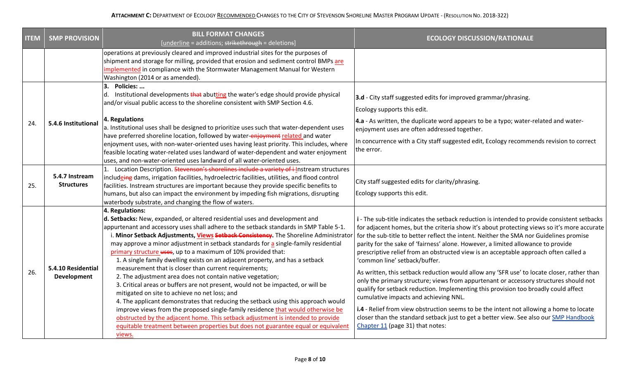| <b>ITEM</b> | <b>SMP PROVISION</b>                | <b>BILL FORMAT CHANGES</b><br>[underline = additions; strikethrough = deletions]                                                                                                                                                                                                                                                                                                                                                                                                                                                                                                                                                                                                                                                                                                                                                                                                                                                                                                                                                                                                                                                               | <b>ECOLOGY DISCUSSION/RATIONALE</b>                                                                                                                                                                                                                                                                                                                                                                                                                                                                                                                                                                                                                                                                                                                                                                                                                                                                                                                                                                                                               |
|-------------|-------------------------------------|------------------------------------------------------------------------------------------------------------------------------------------------------------------------------------------------------------------------------------------------------------------------------------------------------------------------------------------------------------------------------------------------------------------------------------------------------------------------------------------------------------------------------------------------------------------------------------------------------------------------------------------------------------------------------------------------------------------------------------------------------------------------------------------------------------------------------------------------------------------------------------------------------------------------------------------------------------------------------------------------------------------------------------------------------------------------------------------------------------------------------------------------|---------------------------------------------------------------------------------------------------------------------------------------------------------------------------------------------------------------------------------------------------------------------------------------------------------------------------------------------------------------------------------------------------------------------------------------------------------------------------------------------------------------------------------------------------------------------------------------------------------------------------------------------------------------------------------------------------------------------------------------------------------------------------------------------------------------------------------------------------------------------------------------------------------------------------------------------------------------------------------------------------------------------------------------------------|
|             |                                     | operations at previously cleared and improved industrial sites for the purposes of<br>shipment and storage for milling, provided that erosion and sediment control BMPs are<br>implemented in compliance with the Stormwater Management Manual for Western<br>Washington (2014 or as amended).                                                                                                                                                                                                                                                                                                                                                                                                                                                                                                                                                                                                                                                                                                                                                                                                                                                 |                                                                                                                                                                                                                                                                                                                                                                                                                                                                                                                                                                                                                                                                                                                                                                                                                                                                                                                                                                                                                                                   |
|             | 5.4.6 Institutional                 | 3. Policies:<br>d. Institutional developments that abutting the water's edge should provide physical<br>and/or visual public access to the shoreline consistent with SMP Section 4.6.                                                                                                                                                                                                                                                                                                                                                                                                                                                                                                                                                                                                                                                                                                                                                                                                                                                                                                                                                          | 3.d - City staff suggested edits for improved grammar/phrasing.<br>Ecology supports this edit.                                                                                                                                                                                                                                                                                                                                                                                                                                                                                                                                                                                                                                                                                                                                                                                                                                                                                                                                                    |
| 24.         |                                     | 4. Regulations<br>a. Institutional uses shall be designed to prioritize uses such that water-dependent uses                                                                                                                                                                                                                                                                                                                                                                                                                                                                                                                                                                                                                                                                                                                                                                                                                                                                                                                                                                                                                                    | 4.a - As written, the duplicate word appears to be a typo; water-related and water-<br>enjoyment uses are often addressed together.                                                                                                                                                                                                                                                                                                                                                                                                                                                                                                                                                                                                                                                                                                                                                                                                                                                                                                               |
|             |                                     | have preferred shoreline location, followed by water-enjoyment related and water<br>enjoyment uses, with non-water-oriented uses having least priority. This includes, where<br>feasible locating water-related uses landward of water-dependent and water enjoyment<br>uses, and non-water-oriented uses landward of all water-oriented uses.                                                                                                                                                                                                                                                                                                                                                                                                                                                                                                                                                                                                                                                                                                                                                                                                 | In concurrence with a City staff suggested edit, Ecology recommends revision to correct<br>the error.                                                                                                                                                                                                                                                                                                                                                                                                                                                                                                                                                                                                                                                                                                                                                                                                                                                                                                                                             |
| 25.         | 5.4.7 Instream<br><b>Structures</b> | 1. Location Description. Stevenson's shorelines include a variety of illnstream structures<br>includeing dams, irrigation facilities, hydroelectric facilities, utilities, and flood control<br>facilities. Instream structures are important because they provide specific benefits to<br>humans, but also can impact the environment by impeding fish migrations, disrupting<br>waterbody substrate, and changing the flow of waters.                                                                                                                                                                                                                                                                                                                                                                                                                                                                                                                                                                                                                                                                                                        | City staff suggested edits for clarity/phrasing.<br>Ecology supports this edit.                                                                                                                                                                                                                                                                                                                                                                                                                                                                                                                                                                                                                                                                                                                                                                                                                                                                                                                                                                   |
| 26.         | 5.4.10 Residential<br>Development   | 4. Regulations:<br>d. Setbacks: New, expanded, or altered residential uses and development and<br>appurtenant and accessory uses shall adhere to the setback standards in SMP Table 5-1.<br>i. Minor Setback Adjustments, Views Setback Consistency. The Shoreline Administrator<br>may approve a minor adjustment in setback standards for a single-family residential<br>primary structure uses, up to a maximum of 10% provided that:<br>1. A single family dwelling exists on an adjacent property, and has a setback<br>measurement that is closer than current requirements;<br>2. The adjustment area does not contain native vegetation;<br>3. Critical areas or buffers are not present, would not be impacted, or will be<br>mitigated on site to achieve no net loss; and<br>4. The applicant demonstrates that reducing the setback using this approach would<br>improve views from the proposed single-family residence that would otherwise be<br>obstructed by the adjacent home. This setback adjustment is intended to provide<br>equitable treatment between properties but does not guarantee equal or equivalent<br>views. | i - The sub-title indicates the setback reduction is intended to provide consistent setbacks<br>for adjacent homes, but the criteria show it's about protecting views so it's more accurate<br>for the sub-title to better reflect the intent. Neither the SMA nor Guidelines promise<br>parity for the sake of 'fairness' alone. However, a limited allowance to provide<br>prescriptive relief from an obstructed view is an acceptable approach often called a<br>'common line' setback/buffer.<br>As written, this setback reduction would allow any 'SFR use' to locate closer, rather than<br>only the primary structure; views from appurtenant or accessory structures should not<br>qualify for setback reduction. Implementing this provision too broadly could affect<br>cumulative impacts and achieving NNL.<br>i.4 - Relief from view obstruction seems to be the intent not allowing a home to locate<br>closer than the standard setback just to get a better view. See also our SMP Handbook<br>Chapter 11 (page 31) that notes: |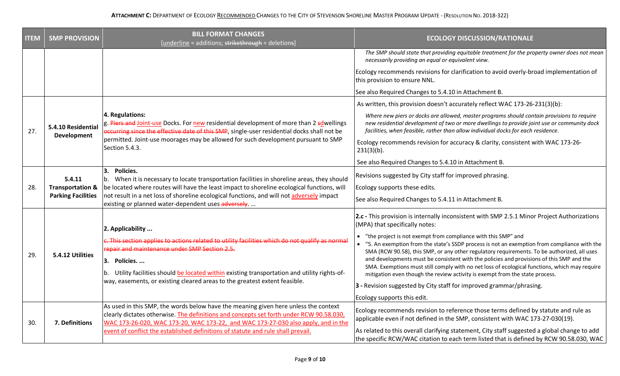| <b>ITEM</b> | <b>SMP PROVISION</b>                                               | <b>BILL FORMAT CHANGES</b><br>[underline = additions; strikethrough = deletions]                                                                                                                                                                                                                                                                             | <b>ECOLOGY DISCUSSION/RATIONALE</b>                                                                                                                                                                                                                                            |
|-------------|--------------------------------------------------------------------|--------------------------------------------------------------------------------------------------------------------------------------------------------------------------------------------------------------------------------------------------------------------------------------------------------------------------------------------------------------|--------------------------------------------------------------------------------------------------------------------------------------------------------------------------------------------------------------------------------------------------------------------------------|
|             |                                                                    |                                                                                                                                                                                                                                                                                                                                                              | The SMP should state that providing equitable treatment for the property owner does not mean<br>necessarily providing an equal or equivalent view.                                                                                                                             |
|             |                                                                    |                                                                                                                                                                                                                                                                                                                                                              | Ecology recommends revisions for clarification to avoid overly-broad implementation of<br>this provision to ensure NNL.                                                                                                                                                        |
|             |                                                                    |                                                                                                                                                                                                                                                                                                                                                              | See also Required Changes to 5.4.10 in Attachment B.                                                                                                                                                                                                                           |
|             |                                                                    |                                                                                                                                                                                                                                                                                                                                                              | As written, this provision doesn't accurately reflect WAC 173-26-231(3)(b):                                                                                                                                                                                                    |
| 27.         | 5.4.10 Residential<br>Development                                  | 4. Regulations:<br>g. Piers and Joint-use Docks. For new residential development of more than 2 sdwellings<br>occurring since the effective date of this SMP, single-user residential docks shall not be<br>permitted. Joint-use moorages may be allowed for such development pursuant to SMP<br>Section 5.4.3.                                              | Where new piers or docks are allowed, master programs should contain provisions to require<br>new residential development of two or more dwellings to provide joint use or community dock<br>facilities, when feasible, rather than allow individual docks for each residence. |
|             |                                                                    |                                                                                                                                                                                                                                                                                                                                                              | Ecology recommends revision for accuracy & clarity, consistent with WAC 173-26-<br>$231(3)(b)$ .                                                                                                                                                                               |
|             |                                                                    |                                                                                                                                                                                                                                                                                                                                                              | See also Required Changes to 5.4.10 in Attachment B.                                                                                                                                                                                                                           |
|             | 5.4.11<br><b>Transportation &amp;</b><br><b>Parking Facilities</b> | 3.<br>Policies.<br>When it is necessary to locate transportation facilities in shoreline areas, they should<br>be located where routes will have the least impact to shoreline ecological functions, will<br>not result in a net loss of shoreline ecological functions, and will not adversely impact<br>existing or planned water-dependent uses adversely | Revisions suggested by City staff for improved phrasing.                                                                                                                                                                                                                       |
| 28.         |                                                                    |                                                                                                                                                                                                                                                                                                                                                              | Ecology supports these edits.                                                                                                                                                                                                                                                  |
|             |                                                                    |                                                                                                                                                                                                                                                                                                                                                              | See also Required Changes to 5.4.11 in Attachment B.                                                                                                                                                                                                                           |
|             | 5.4.12 Utilities                                                   | 2. Applicability                                                                                                                                                                                                                                                                                                                                             | 2.c - This provision is internally inconsistent with SMP 2.5.1 Minor Project Authorizations<br>(MPA) that specifically notes:                                                                                                                                                  |
|             |                                                                    | c. This section applies to actions related to utility facilities which do not qualify as normal                                                                                                                                                                                                                                                              | • "the project is not exempt from compliance with this SMP" and                                                                                                                                                                                                                |
|             |                                                                    | repair and maintenance under SMP Section 2.5.                                                                                                                                                                                                                                                                                                                | • "5. An exemption from the state's SSDP process is not an exemption from compliance with the<br>SMA (RCW 90.58), this SMP, or any other regulatory requirements. To be authorized, all uses                                                                                   |
| 29.         |                                                                    | 3. Policies                                                                                                                                                                                                                                                                                                                                                  | and developments must be consistent with the policies and provisions of this SMP and the                                                                                                                                                                                       |
|             |                                                                    | Utility facilities should be located within existing transportation and utility rights-of-<br>way, easements, or existing cleared areas to the greatest extent feasible.                                                                                                                                                                                     | SMA. Exemptions must still comply with no net loss of ecological functions, which may require<br>mitigation even though the review activity is exempt from the state process.                                                                                                  |
|             |                                                                    |                                                                                                                                                                                                                                                                                                                                                              | 3 - Revision suggested by City staff for improved grammar/phrasing.                                                                                                                                                                                                            |
|             |                                                                    |                                                                                                                                                                                                                                                                                                                                                              | Ecology supports this edit.                                                                                                                                                                                                                                                    |
| 30.         | 7. Definitions                                                     | As used in this SMP, the words below have the meaning given here unless the context<br>clearly dictates otherwise. The definitions and concepts set forth under RCW 90.58.030,<br>WAC 173-26-020, WAC 173-20, WAC 173-22, and WAC 173-27-030 also apply, and in the<br>event of conflict the established definitions of statute and rule shall prevail.      | Ecology recommends revision to reference those terms defined by statute and rule as<br>applicable even if not defined in the SMP, consistent with WAC 173-27-030(19).                                                                                                          |
|             |                                                                    |                                                                                                                                                                                                                                                                                                                                                              | As related to this overall clarifying statement, City staff suggested a global change to add<br>the specific RCW/WAC citation to each term listed that is defined by RCW 90.58.030, WAC                                                                                        |